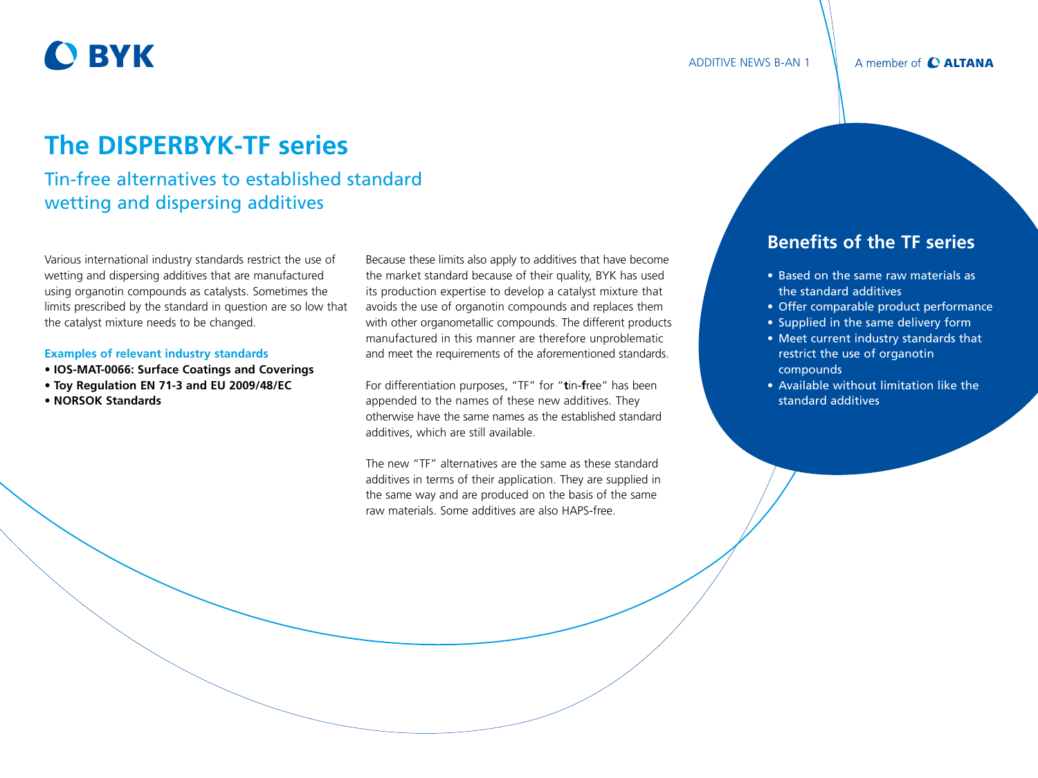# **O BYK**

# **The DISPERBYK-TF series**

## Tin-free alternatives to established standard wetting and dispersing additives

Various international industry standards restrict the use of wetting and dispersing additives that are manufactured using organotin compounds as catalysts. Sometimes the limits prescribed by the standard in question are so low that the catalyst mixture needs to be changed.

#### **Examples of relevant industry standards**

- **IOS-MAT-0066: Surface Coatings and Coverings**
- **Toy Regulation EN 71-3 and EU 2009/48/EC**
- **NORSOK Standards**

Because these limits also apply to additives that have become the market standard because of their quality, BYK has used its production expertise to develop a catalyst mixture that avoids the use of organotin compounds and replaces them with other organometallic compounds. The different products manufactured in this manner are therefore unproblematic and meet the requirements of the aforementioned standards.

For differentiation purposes, "TF" for "**t**in-**f**ree" has been appended to the names of these new additives. They otherwise have the same names as the established standard additives, which are still available.

The new "TF" alternatives are the same as these standard additives in terms of their application. They are supplied in the same way and are produced on the basis of the same raw materials. Some additives are also HAPS-free.

## **Benefits of the TF series**

ADDITIVE NEWS B-AN 1

- Based on the same raw materials as the standard additives
- Offer comparable product performance
- Supplied in the same delivery form
- Meet current industry standards that restrict the use of organotin compounds
- Available without limitation like the standard additives